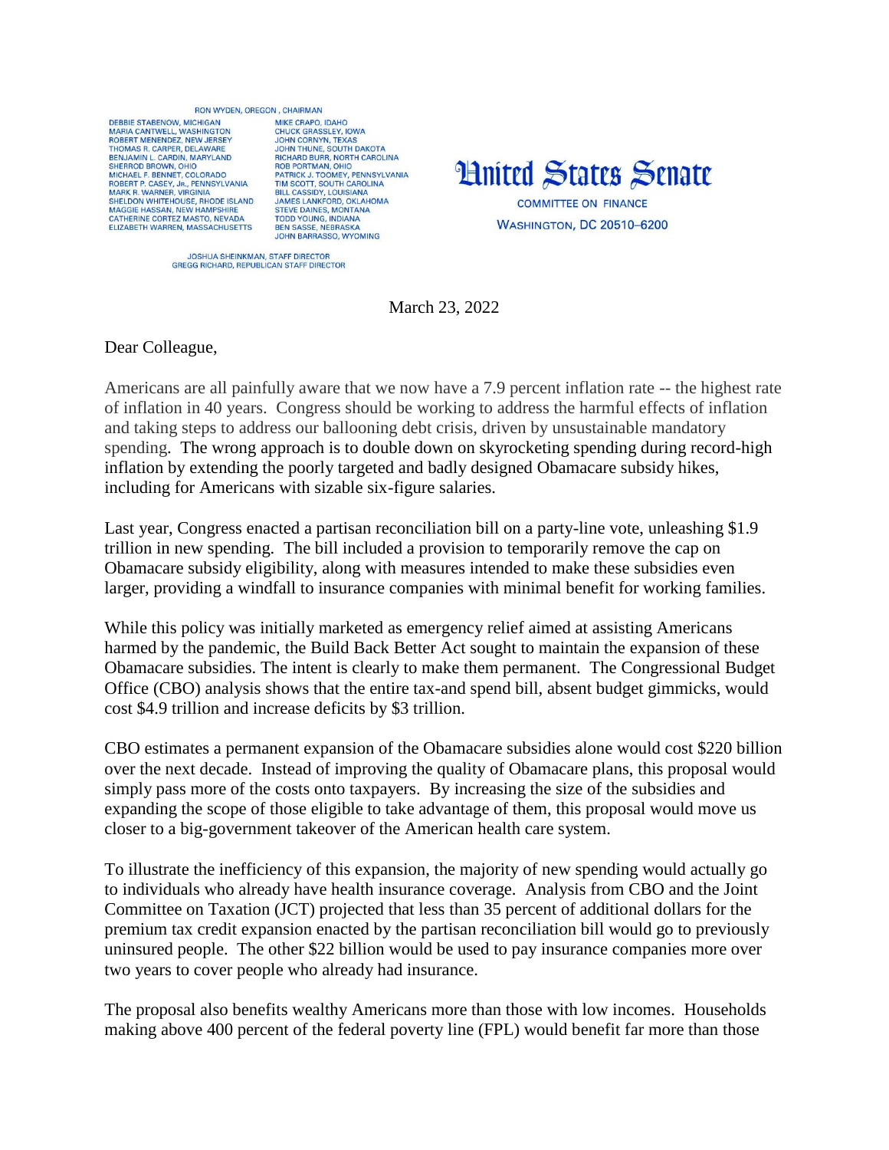## BON WYDEN OREGON CHAIRMAN

DERRIE STARENOW MICHIGAN MARIA CANTWELL, WASHINGTON<br>ROBERT MENENDEZ, NEW JERSEY THOMAS R. CARPER, DELAWARE BENJAMIN L. CARDIN, MARYLAND<br>SHERROD BROWN, OHIO MICHAEL E BENNET, COLOBADO ROBERT P. CASEY, JR., PENNSYLVANIA<br>MARK R. WARNER, VIRGINIA SHELDON WHITEHOUSE, RHODE ISLAND SILLED MAGGIE HASSAN, NEW HAMPSHIRE<br>CATHERINE CORTEZ MASTO, NEVADA<br>ELIZABETH WARREN, MASSACHUSETTS

MIKE CRAPO IDAHO CHUCK GRASSLEY, IOWA<br>JOHN CORNYN, TEXAS JOHN CORNYN, TEXAS<br>JOHN THUNE, SOUTH DAKOTA<br>RICHARD BURR, NORTH CAROLINA<br>ROB PORTMANI, OHIO<br>PATRICK J. TOOMEY, PENNSYLVANIA<br>TIM SCOTT, SOUTH CAROLINA<br>JAMES LANKFORD, OKLAHOMA<br>STEVIE DAINIES MONTANA<br>STEVIE DAINIES MONTANA STRIVE DAINES, MONTANA<br>TODD YOUNG, INDIANA<br>BEN SASSE, NEBRASKA **JOHN BARRASSO, WYOMING** 



JOSHUA SHEINKMAN, STAFF DIRECTOR<br>GREGG RICHARD, REPUBLICAN STAFF DIRECTOR

March 23, 2022

Dear Colleague,

Americans are all painfully aware that we now have a 7.9 percent inflation rate -- the highest rate of inflation in 40 years. Congress should be working to address the harmful effects of inflation and taking steps to address our ballooning debt crisis, driven by unsustainable mandatory spending. The wrong approach is to double down on skyrocketing spending during record-high inflation by extending the poorly targeted and badly designed Obamacare subsidy hikes, including for Americans with sizable six-figure salaries.

Last year, Congress enacted a partisan reconciliation bill on a party-line vote, unleashing \$1.9 trillion in new spending. The bill included a provision to temporarily remove the cap on Obamacare subsidy eligibility, along with measures intended to make these subsidies even larger, providing a windfall to insurance companies with minimal benefit for working families.

While this policy was initially marketed as emergency relief aimed at assisting Americans harmed by the pandemic, the Build Back Better Act sought to maintain the expansion of these Obamacare subsidies. The intent is clearly to make them permanent. The Congressional Budget Office (CBO) analysis shows that the entire tax-and spend bill, absent budget gimmicks, would cost \$4.9 trillion and increase deficits by \$3 trillion.

CBO estimates a permanent expansion of the Obamacare subsidies alone would cost \$220 billion over the next decade. Instead of improving the quality of Obamacare plans, this proposal would simply pass more of the costs onto taxpayers. By increasing the size of the subsidies and expanding the scope of those eligible to take advantage of them, this proposal would move us closer to a big-government takeover of the American health care system.

To illustrate the inefficiency of this expansion, the majority of new spending would actually go to individuals who already have health insurance coverage. Analysis from CBO and the Joint Committee on Taxation (JCT) projected that less than 35 percent of additional dollars for the premium tax credit expansion enacted by the partisan reconciliation bill would go to previously uninsured people. The other \$22 billion would be used to pay insurance companies more over two years to cover people who already had insurance.

The proposal also benefits wealthy Americans more than those with low incomes. Households making above 400 percent of the federal poverty line (FPL) would benefit far more than those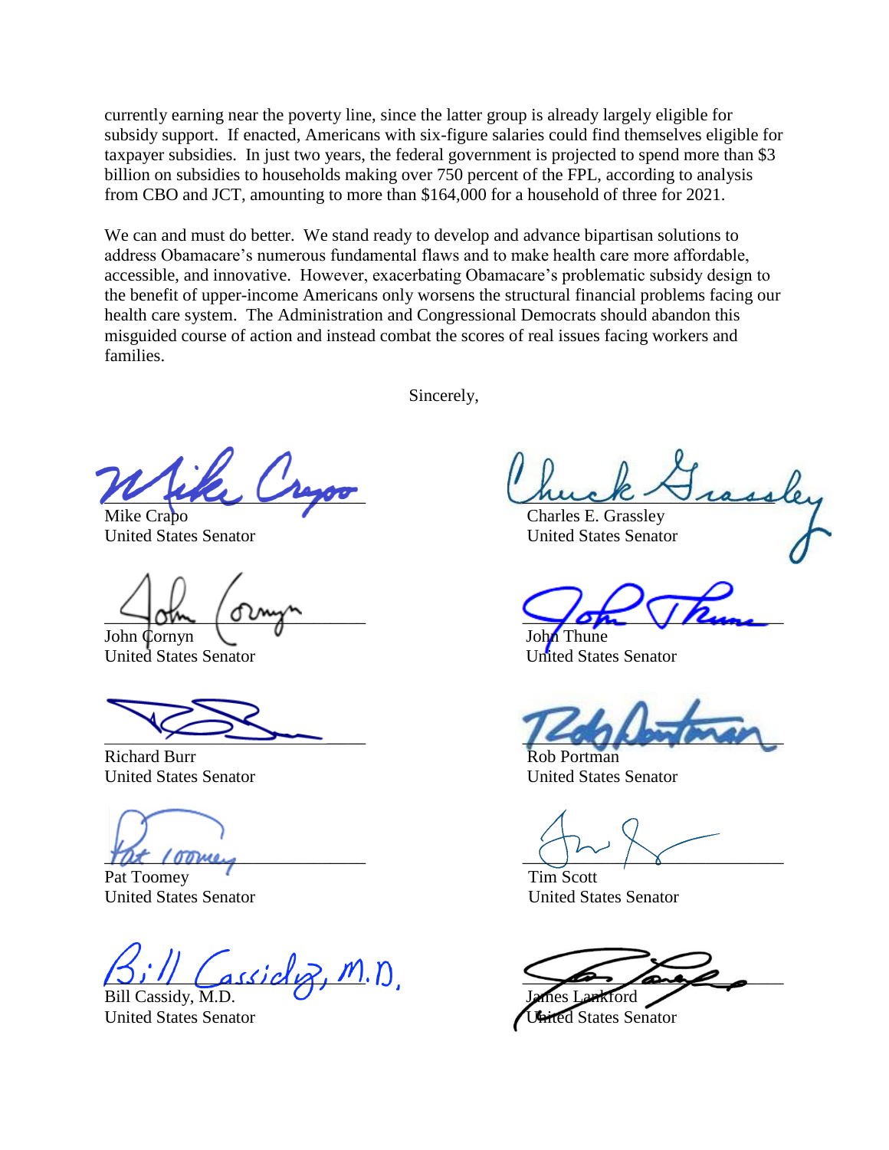currently earning near the poverty line, since the latter group is already largely eligible for subsidy support. If enacted, Americans with six-figure salaries could find themselves eligible for taxpayer subsidies. In just two years, the federal government is projected to spend more than \$3 billion on subsidies to households making over 750 percent of the FPL, according to analysis from CBO and JCT, amounting to more than \$164,000 for a household of three for 2021.

We can and must do better. We stand ready to develop and advance bipartisan solutions to address Obamacare's numerous fundamental flaws and to make health care more affordable, accessible, and innovative. However, exacerbating Obamacare's problematic subsidy design to the benefit of upper-income Americans only worsens the structural financial problems facing our health care system. The Administration and Congressional Democrats should abandon this misguided course of action and instead combat the scores of real issues facing workers and families.

Sincerely,

John Cornyn V V John Thune

United States Senator United States Senator

Richard Burr Rob Portman

Pat Toomey **Tim Scott** 

 $\mathsf{assign}(m,n)$ 

\_\_\_\_\_\_\_\_\_\_\_\_\_\_\_\_\_\_\_\_\_\_\_\_\_\_\_\_\_\_ \_\_\_\_\_\_\_\_\_\_\_\_\_\_\_\_\_\_\_\_\_\_\_\_\_\_\_\_\_

Mike Crapo **Charles E. Grassley** United States Senator United States Senator

 $\sqrt{2m}$   $\sqrt{2m_{\chi}}$ 

\_\_\_\_\_\_\_\_\_\_\_\_\_\_\_\_\_\_\_\_\_\_\_\_\_\_\_\_\_\_ \_\_\_\_\_\_\_\_\_\_\_\_\_\_\_\_\_\_\_\_\_\_\_\_\_\_\_\_\_\_

United States Senator United States Senator

 $\frac{1}{2}$  (oomey

United States Senator United States Senator

Bill Cassidy, M.D. James Lankford

United States Senator **United States Senator**